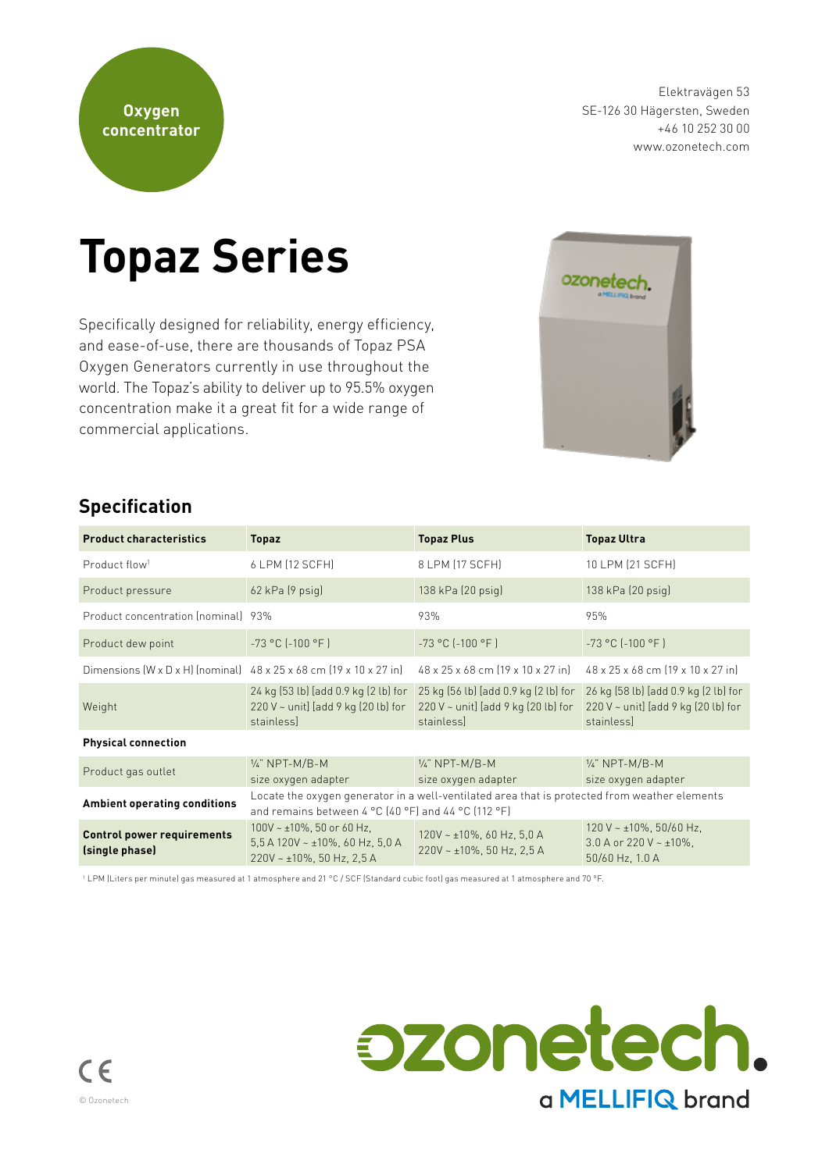**Oxygen**

Elektravägen 53 SE-126 30 Hägersten, Sweden +46 10 252 30 00 www.ozonetech.com

# **Topaz Series**

Specifically designed for reliability, energy efficiency, and ease-of-use, there are thousands of Topaz PSA Oxygen Generators currently in use throughout the world. The Topaz's ability to deliver up to 95.5% oxygen concentration make it a great fit for a wide range of commercial applications.



## **Specification**

| <b>Product characteristics</b>                      | <b>Topaz</b>                                                                                                                                                                                | <b>Topaz Plus</b>                                                                              | <b>Topaz Ultra</b>                                                                             |  |  |  |  |
|-----------------------------------------------------|---------------------------------------------------------------------------------------------------------------------------------------------------------------------------------------------|------------------------------------------------------------------------------------------------|------------------------------------------------------------------------------------------------|--|--|--|--|
| Product flow <sup>1</sup>                           | 6 LPM (12 SCFH)                                                                                                                                                                             | 8 LPM (17 SCFH)                                                                                | 10 LPM (21 SCFH)                                                                               |  |  |  |  |
| Product pressure                                    | $62$ kPa $(9$ psig)                                                                                                                                                                         | $138$ kPa $(20$ psig)                                                                          | 138 kPa (20 psig)                                                                              |  |  |  |  |
| Product concentration (nominal) 93%                 |                                                                                                                                                                                             | 93%                                                                                            | 95%                                                                                            |  |  |  |  |
| Product dew point                                   | $-73 °C$ ( $-100 °F$ )                                                                                                                                                                      | $-73 °C$ $[-100 °F]$                                                                           | $-73 °C$ $[-100 °F]$                                                                           |  |  |  |  |
|                                                     | Dimensions $(W \times D \times H)$ (nominal) $48 \times 25 \times 68$ cm $(19 \times 10 \times 27)$ in                                                                                      | 48 x 25 x 68 cm (19 x 10 x 27 in)                                                              | 48 x 25 x 68 cm (19 x 10 x 27 in)                                                              |  |  |  |  |
| Weight                                              | 24 kg (53 lb) [add 0.9 kg (2 lb) for<br>$220 V \sim$ unit] [add 9 kg (20 lb) for<br>stainless]                                                                                              | 25 kg (56 lb) [add 0.9 kg (2 lb) for<br>$220 V \sim$ unit] [add 9 kg (20 lb) for<br>stainlessl | 26 kg (58 lb) [add 0.9 kg (2 lb) for<br>$220 V \sim$ unit] [add 9 kg (20 lb) for<br>stainless] |  |  |  |  |
| <b>Physical connection</b>                          |                                                                                                                                                                                             |                                                                                                |                                                                                                |  |  |  |  |
| Product gas outlet                                  | $\frac{1}{4}$ " NPT-M/B-M<br>size oxygen adapter                                                                                                                                            | $\frac{1}{4}$ " NPT-M/B-M<br>size oxygen adapter                                               | $\frac{1}{4}$ " NPT-M/B-M<br>size oxygen adapter                                               |  |  |  |  |
| <b>Ambient operating conditions</b>                 | Locate the oxygen generator in a well-ventilated area that is protected from weather elements<br>and remains between $4^{\circ}$ C (40 $^{\circ}$ F) and 44 $^{\circ}$ C (112 $^{\circ}$ F) |                                                                                                |                                                                                                |  |  |  |  |
| <b>Control power requirements</b><br>(single phase) | 100V ~ $\pm$ 10%, 50 or 60 Hz,<br>5,5 A 120V ~ $\pm$ 10%, 60 Hz, 5,0 A<br>$220V - \pm 10\%$ , 50 Hz, 2,5 A                                                                                  | $120V - \pm 10\%$ , 60 Hz, 5,0 A<br>$220V - 10\%$ , 50 Hz, 2,5 A                               | 120 V ~ $\pm$ 10%, 50/60 Hz,<br>3.0 A or 220 V $\sim$ ±10%.<br>$50/60$ Hz, 1.0 A               |  |  |  |  |

1 LPM (Liters per minute) gas measured at 1 atmosphere and 21 °C / SCF (Standard cubic foot) gas measured at 1 atmosphere and 70 °F.

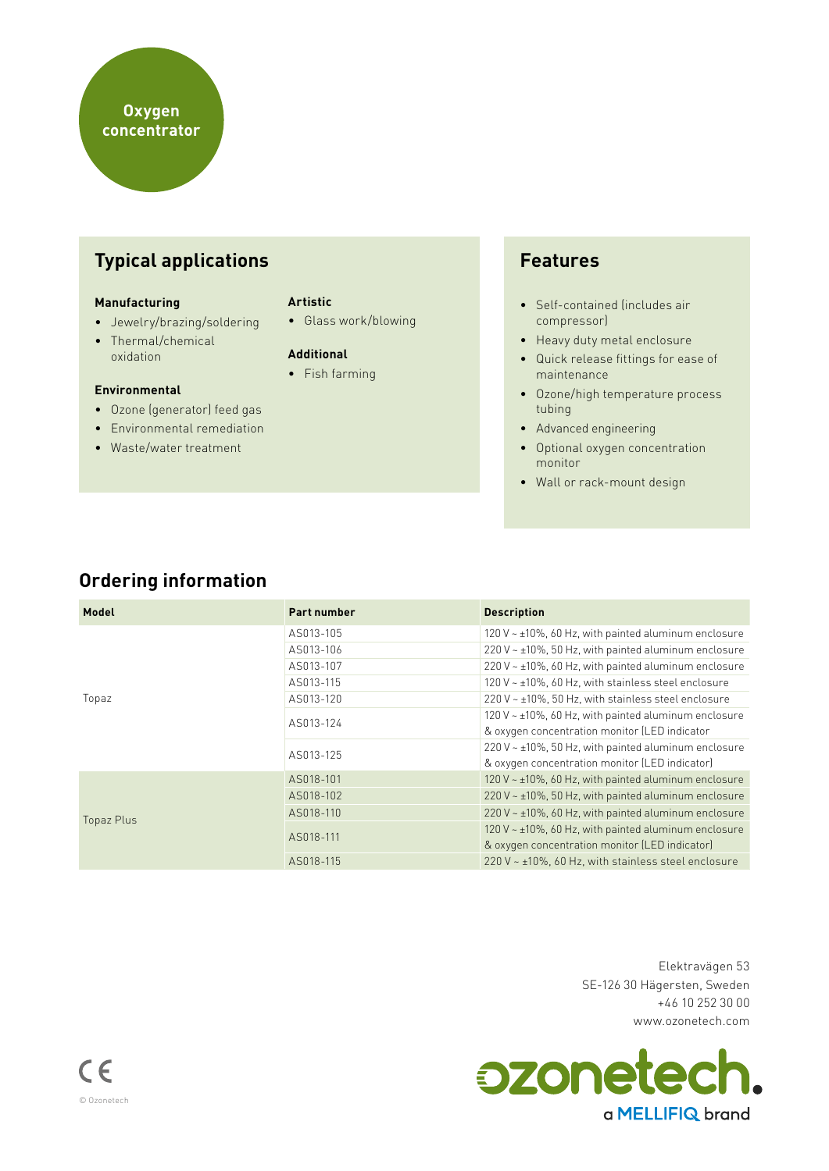# **Typical applications**

#### **Manufacturing**

- Jewelry/brazing/soldering
- Thermal/chemical oxidation

#### **Environmental**

- Ozone (generator) feed gas
- Environmental remediation
- Waste/water treatment

#### **Artistic**

• Glass work/blowing

#### **Additional**

• Fish farming

### **Features**

- Self-contained (includes air compressor)
- Heavy duty metal enclosure
- Quick release fittings for ease of maintenance
- Ozone/high temperature process tubing
- Advanced engineering
- Optional oxygen concentration monitor
- Wall or rack-mount design

## **Ordering information**

| Model      | <b>Part number</b> | <b>Description</b>                                          |  |
|------------|--------------------|-------------------------------------------------------------|--|
|            | AS013-105          | 120 V $\sim$ ±10%, 60 Hz, with painted aluminum enclosure   |  |
|            | AS013-106          | $220$ V ~ $\pm$ 10%, 50 Hz, with painted aluminum enclosure |  |
|            | AS013-107          | 220 V $\sim$ ±10%, 60 Hz, with painted aluminum enclosure   |  |
|            | AS013-115          | 120 V ~ ±10%, 60 Hz, with stainless steel enclosure         |  |
| Topaz      | AS013-120          | 220 V ~ ±10%, 50 Hz, with stainless steel enclosure         |  |
|            | AS013-124          | 120 V $\sim$ ±10%, 60 Hz, with painted aluminum enclosure   |  |
|            |                    | & oxygen concentration monitor (LED indicator               |  |
|            | AS013-125          | 220 V $\sim$ ±10%, 50 Hz, with painted aluminum enclosure   |  |
|            |                    | & oxygen concentration monitor (LED indicator)              |  |
|            | AS018-101          | 120 V $\sim$ ±10%, 60 Hz, with painted aluminum enclosure   |  |
|            | AS018-102          | $220$ V ~ $\pm$ 10%, 50 Hz, with painted aluminum enclosure |  |
| Topaz Plus | AS018-110          | $220$ V ~ $\pm$ 10%, 60 Hz, with painted aluminum enclosure |  |
|            | AS018-111          | 120 V ~ ±10%, 60 Hz, with painted aluminum enclosure        |  |
|            |                    | & oxygen concentration monitor (LED indicator)              |  |
|            | AS018-115          | $220$ V ~ $\pm$ 10%, 60 Hz, with stainless steel enclosure  |  |

Elektravägen 53 SE-126 30 Hägersten, Sweden +46 10 252 30 00 www.ozonetech.com